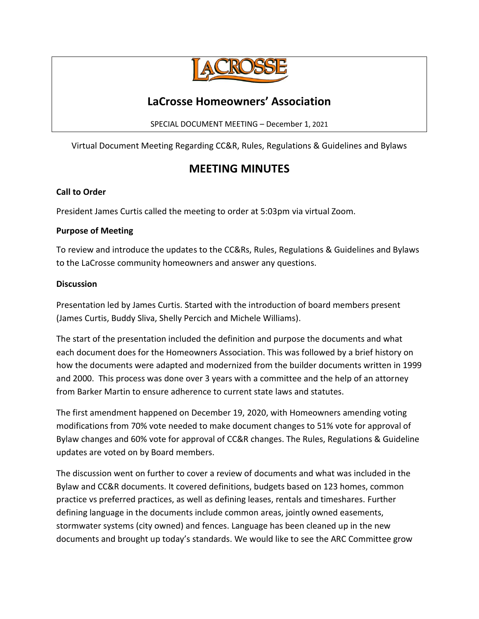

# **LaCrosse Homeowners' Association**

SPECIAL DOCUMENT MEETING – December 1, 2021

Virtual Document Meeting Regarding CC&R, Rules, Regulations & Guidelines and Bylaws

# **MEETING MINUTES**

#### **Call to Order**

President James Curtis called the meeting to order at 5:03pm via virtual Zoom.

### **Purpose of Meeting**

To review and introduce the updates to the CC&Rs, Rules, Regulations & Guidelines and Bylaws to the LaCrosse community homeowners and answer any questions.

### **Discussion**

Presentation led by James Curtis. Started with the introduction of board members present (James Curtis, Buddy Sliva, Shelly Percich and Michele Williams).

The start of the presentation included the definition and purpose the documents and what each document does for the Homeowners Association. This was followed by a brief history on how the documents were adapted and modernized from the builder documents written in 1999 and 2000. This process was done over 3 years with a committee and the help of an attorney from Barker Martin to ensure adherence to current state laws and statutes.

The first amendment happened on December 19, 2020, with Homeowners amending voting modifications from 70% vote needed to make document changes to 51% vote for approval of Bylaw changes and 60% vote for approval of CC&R changes. The Rules, Regulations & Guideline updates are voted on by Board members.

The discussion went on further to cover a review of documents and what was included in the Bylaw and CC&R documents. It covered definitions, budgets based on 123 homes, common practice vs preferred practices, as well as defining leases, rentals and timeshares. Further defining language in the documents include common areas, jointly owned easements, stormwater systems (city owned) and fences. Language has been cleaned up in the new documents and brought up today's standards. We would like to see the ARC Committee grow